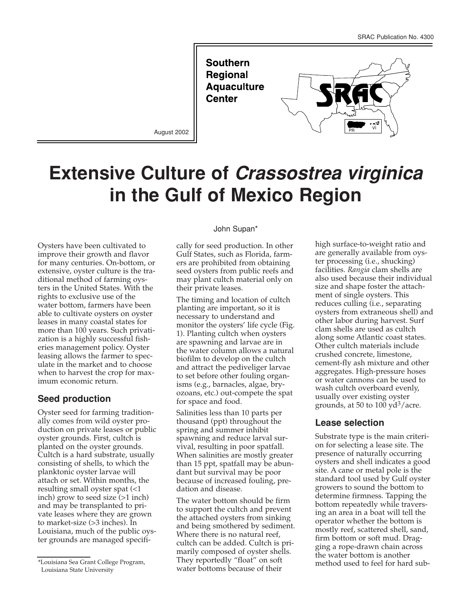**Southern** Regional **Aquaculture Center** 



August 2002

# **Extensive Culture of** *Crassostrea virginica* **in the Gulf of Mexico Region**

Oysters have been cultivated to improve their growth and flavor for many centuries. On-bottom, or extensive, oyster culture is the traditional method of farming oysters in the United States. With the rights to exclusive use of the water bottom, farmers have been able to cultivate oysters on oyster leases in many coastal states for more than 100 years. Such privatization is a highly successful fisheries management policy. Oyster leasing allows the farmer to speculate in the market and to choose when to harvest the crop for maximum economic return.

## **Seed production**

Oyster seed for farming traditionally comes from wild oyster production on private leases or public oyster grounds. First, cultch is planted on the oyster grounds. Cultch is a hard substrate, usually consisting of shells, to which the planktonic oyster larvae will attach or set. Within months, the resulting small oyster spat (<1 inch) grow to seed size (>1 inch) and may be transplanted to private leases where they are grown to market-size (>3 inches). In Louisiana, much of the public oyster grounds are managed specifi-

#### John Supan\*

cally for seed production. In other Gulf States, such as Florida, farmers are prohibited from obtaining seed oysters from public reefs and may plant cultch material only on their private leases.

The timing and location of cultch planting are important, so it is necessary to understand and monitor the oysters' life cycle (Fig. 1). Planting cultch when oysters are spawning and larvae are in the water column allows a natural biofilm to develop on the cultch and attract the pediveliger larvae to set before other fouling organisms (e.g., barnacles, algae, bryozoans, etc.) out-compete the spat for space and food.

Salinities less than 10 parts per thousand (ppt) throughout the spring and summer inhibit spawning and reduce larval survival, resulting in poor spatfall. When salinities are mostly greater than 15 ppt, spatfall may be abundant but survival may be poor because of increased fouling, predation and disease.

The water bottom should be firm to support the cultch and prevent the attached oysters from sinking and being smothered by sediment. Where there is no natural reef, cultch can be added. Cultch is primarily composed of oyster shells. They reportedly "float" on soft water bottoms because of their

high surface-to-weight ratio and are generally available from oyster processing (i.e., shucking) facilities. *Rangia* clam shells are also used because their individual size and shape foster the attachment of single oysters. This reduces culling (i.e., separating oysters from extraneous shell) and other labor during harvest. Surf clam shells are used as cultch along some Atlantic coast states. Other cultch materials include crushed concrete, limestone, cement-fly ash mixture and other aggregates. High-pressure hoses or water cannons can be used to wash cultch overboard evenly, usually over existing oyster grounds, at 50 to 100  $\text{yd}^3/\text{acre}$ .

## **Lease selection**

Substrate type is the main criterion for selecting a lease site. The presence of naturally occurring oysters and shell indicates a good site. A cane or metal pole is the standard tool used by Gulf oyster growers to sound the bottom to determine firmness. Tapping the bottom repeatedly while traversing an area in a boat will tell the operator whether the bottom is mostly reef, scattered shell, sand, firm bottom or soft mud. Dragging a rope-drawn chain across the water bottom is another method used to feel for hard sub-

<sup>\*</sup>Louisiana Sea Grant College Program, Louisiana State University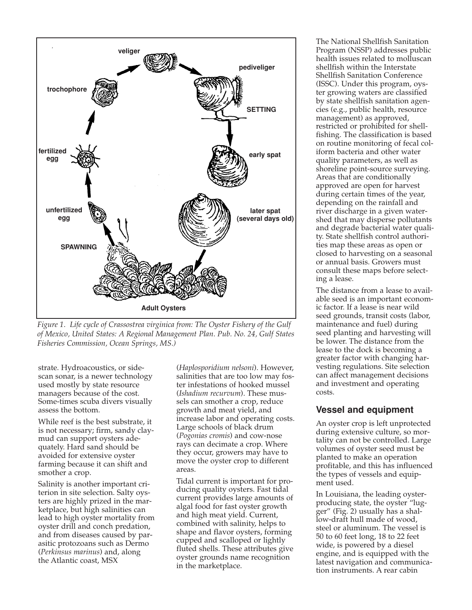

*Figure 1. Life cycle of Crassostrea virginica from: The Oyster Fishery of the Gulf of Mexico, United States: A Regional Management Plan. Pub. No. 24, Gulf States Fisheries Commission, Ocean Springs, MS.)*

strate. Hydroacoustics, or sidescan sonar, is a newer technology used mostly by state resource managers because of the cost. Some-times scuba divers visually assess the bottom.

While reef is the best substrate, it is not necessary; firm, sandy claymud can support oysters adequately. Hard sand should be avoided for extensive oyster farming because it can shift and smother a crop.

Salinity is another important criterion in site selection. Salty oysters are highly prized in the marketplace, but high salinities can lead to high oyster mortality from oyster drill and conch predation, and from diseases caused by parasitic protozoans such as Dermo (*Perkinsus marinus*) and, along the Atlantic coast, MSX

(*Haplosporidium nelsoni*). However, salinities that are too low may foster infestations of hooked mussel (*Ishadium recurvum*). These mussels can smother a crop, reduce growth and meat yield, and increase labor and operating costs. Large schools of black drum (*Pogonias cromis*) and cow-nose rays can decimate a crop. Where they occur, growers may have to move the oyster crop to different areas.

Tidal current is important for producing quality oysters. Fast tidal current provides large amounts of algal food for fast oyster growth and high meat yield. Current, combined with salinity, helps to shape and flavor oysters, forming cupped and scalloped or lightly fluted shells. These attributes give oyster grounds name recognition in the marketplace.

The National Shellfish Sanitation Program (NSSP) addresses public health issues related to molluscan shellfish within the Interstate Shellfish Sanitation Conference (ISSC). Under this program, oyster growing waters are classified by state shellfish sanitation agencies (e.g., public health, resource management) as approved, restricted or prohibited for shellfishing. The classification is based on routine monitoring of fecal coliform bacteria and other water quality parameters, as well as shoreline point-source surveying. Areas that are conditionally approved are open for harvest during certain times of the year, depending on the rainfall and river discharge in a given watershed that may disperse pollutants and degrade bacterial water quality. State shellfish control authorities map these areas as open or closed to harvesting on a seasonal or annual basis. Growers must consult these maps before selecting a lease.

The distance from a lease to available seed is an important economic factor. If a lease is near wild seed grounds, transit costs (labor, maintenance and fuel) during seed planting and harvesting will be lower. The distance from the lease to the dock is becoming a greater factor with changing harvesting regulations. Site selection can affect management decisions and investment and operating costs.

#### **Vessel and equipment**

An oyster crop is left unprotected during extensive culture, so mortality can not be controlled. Large volumes of oyster seed must be planted to make an operation profitable, and this has influenced the types of vessels and equipment used.

In Louisiana, the leading oysterproducing state, the oyster "lugger" (Fig. 2) usually has a shallow-draft hull made of wood, steel or aluminum. The vessel is 50 to 60 feet long, 18 to 22 feet wide, is powered by a diesel engine, and is equipped with the latest navigation and communication instruments. A rear cabin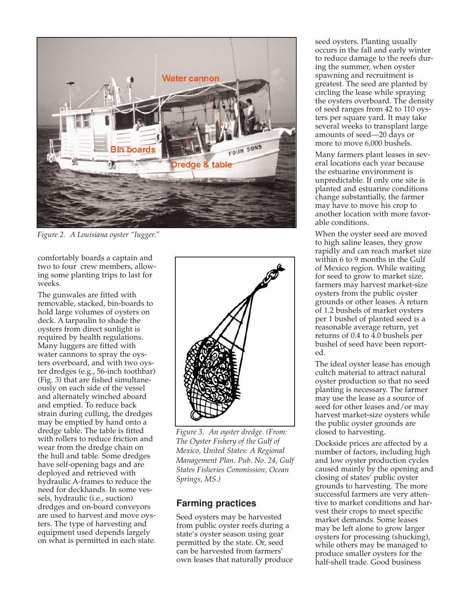

*Figure 2. A Louisiana oyster "lugger."* 

comfortably boards a captain and two to four crew members, allowing some planting trips to last for weeks.

The gunwales are fitted with removable, stacked, bin-boards to hold large volumes of oysters on deck. A tarpaulin to shade the oysters from direct sunlight is required by health regulations. Many luggers are fitted with water cannons to spray the oysters overboard, and with two oyster dredges (e.g., 56-inch toothbar) (Fig. 3) that are fished simultaneously on each side of the vessel and alternately winched aboard and emptied. To reduce back strain during culling, the dredges may be emptied by hand onto a dredge table. The table is fitted with rollers to reduce friction and wear from the dredge chain on the hull and table. Some dredges have self-opening bags and are deployed and retrieved with hydraulic A-frames to reduce the need for deckhands. In some vessels, hydraulic (i.e., suction) dredges and on-board conveyors are used to harvest and move oysters. The type of harvesting and equipment used depends largely on what is permitted in each state.



*Figure 3. An oyster dredge. (From: The Oyster Fishery of the Gulf of Mexico, United States: A Regional Management Plan. Pub. No. 24, Gulf States Fisheries Commission, Ocean Springs, MS.)*

# **Farming practices**

Seed oysters may be harvested from public oyster reefs during a state's oyster season using gear permitted by the state. Or, seed can be harvested from farmers' own leases that naturally produce seed oysters. Planting usually occurs in the fall and early winter to reduce damage to the reefs during the summer, when oyster spawning and recruitment is greatest. The seed are planted by circling the lease while spraying the oysters overboard. The density of seed ranges from 42 to 110 oysters per square yard. It may take several weeks to transplant large amounts of seed—20 days or more to move 6,000 bushels.

Many farmers plant leases in several locations each year because the estuarine environment is unpredictable. If only one site is planted and estuarine conditions change substantially, the farmer may have to move his crop to another location with more favorable conditions.

When the oyster seed are moved to high saline leases, they grow rapidly and can reach market size within 6 to 9 months in the Gulf of Mexico region. While waiting for seed to grow to market size, farmers may harvest market-size oysters from the public oyster grounds or other leases. A return of 1.2 bushels of market oysters per 1 bushel of planted seed is a reasonable average return, yet returns of 0.4 to 4.0 bushels per bushel of seed have been reported.

The ideal oyster lease has enough cultch material to attract natural oyster production so that no seed planting is necessary. The farmer may use the lease as a source of seed for other leases and/or may harvest market-size oysters while the public oyster grounds are closed to harvesting.

Dockside prices are affected by a number of factors, including high and low oyster production cycles caused mainly by the opening and closing of states' public oyster grounds to harvesting. The more successful farmers are very attentive to market conditions and harvest their crops to meet specific market demands. Some leases may be left alone to grow larger oysters for processing (shucking), while others may be managed to produce smaller oysters for the half-shell trade. Good business